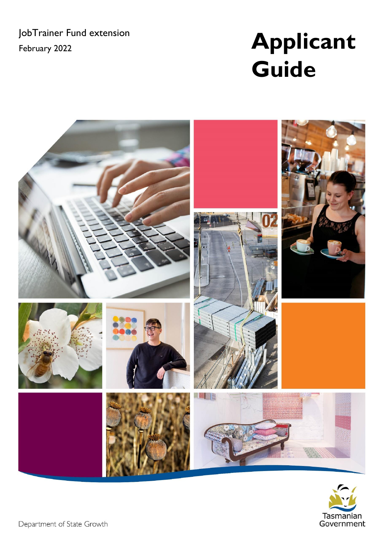JobTrainer Fund extension

# JobTrainer Fund extension<br>February 2022 **Applicant Guide**



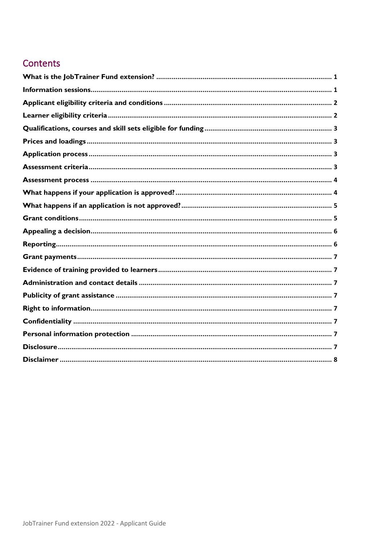## Contents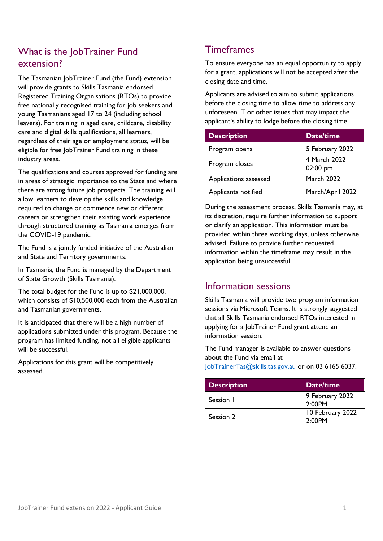## <span id="page-2-0"></span>What is the JobTrainer Fund extension?

The Tasmanian JobTrainer Fund (the Fund) extension will provide grants to Skills Tasmania endorsed Registered Training Organisations (RTOs) to provide free nationally recognised training for job seekers and young Tasmanians aged 17 to 24 (including school leavers). For training in aged care, childcare, disability care and digital skills qualifications, all learners, regardless of their age or employment status, will be eligible for free JobTrainer Fund training in these industry areas.

The qualifications and courses approved for funding are in areas of strategic importance to the State and where there are strong future job prospects. The training will allow learners to develop the skills and knowledge required to change or commence new or different careers or strengthen their existing work experience through structured training as Tasmania emerges from the COVID-19 pandemic.

The Fund is a jointly funded initiative of the Australian and State and Territory governments.

In Tasmania, the Fund is managed by the Department of State Growth (Skills Tasmania).

The total budget for the Fund is up to \$21,000,000, which consists of \$10,500,000 each from the Australian and Tasmanian governments.

It is anticipated that there will be a high number of applications submitted under this program. Because the program has limited funding, not all eligible applicants will be successful.

Applications for this grant will be competitively assessed.

## **Timeframes**

To ensure everyone has an equal opportunity to apply for a grant, applications will not be accepted after the closing date and time.

Applicants are advised to aim to submit applications before the closing time to allow time to address any unforeseen IT or other issues that may impact the applicant's ability to lodge before the closing time.

| <b>Description</b>    | <b>Date/time</b>         |
|-----------------------|--------------------------|
| Program opens         | 5 February 2022          |
| Program closes        | 4 March 2022<br>02:00 pm |
| Applications assessed | <b>March 2022</b>        |
| Applicants notified   | March/April 2022         |

During the assessment process, Skills Tasmania may, at its discretion, require further information to support or clarify an application. This information must be provided within three working days, unless otherwise advised. Failure to provide further requested information within the timeframe may result in the application being unsuccessful.

## <span id="page-2-1"></span>Information sessions

Skills Tasmania will provide two program information sessions via Microsoft Teams. It is strongly suggested that all Skills Tasmania endorsed RTOs interested in applying for a JobTrainer Fund grant attend an information session.

The Fund manager is available to answer questions about the Fund via email at [JobTrainerTas@skills.tas.gov.au](mailto:JobTrainerTas@skills.tas.gov.au) or on 03 6165 6037.

| <b>Description</b> | Date/time                  |
|--------------------|----------------------------|
| Session 1          | 9 February 2022<br>2:00PM  |
| Session 2          | 10 February 2022<br>2:00PM |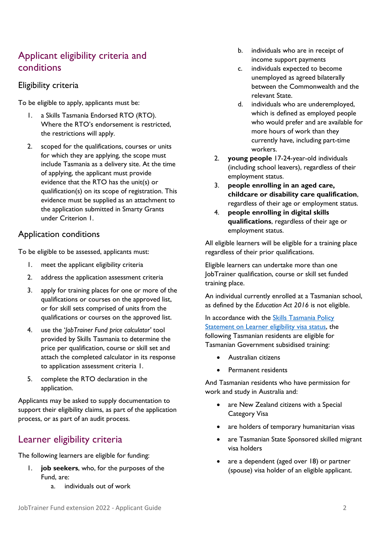## <span id="page-3-0"></span>Applicant eligibility criteria and conditions

#### Eligibility criteria

To be eligible to apply, applicants must be:

- 1. a Skills Tasmania Endorsed RTO (RTO). Where the RTO's endorsement is restricted, the restrictions will apply.
- 2. scoped for the qualifications, courses or units for which they are applying, the scope must include Tasmania as a delivery site. At the time of applying, the applicant must provide evidence that the RTO has the unit(s) or qualification(s) on its scope of registration. This evidence must be supplied as an attachment to the application submitted in Smarty Grants under Criterion 1.

### Application conditions

To be eligible to be assessed, applicants must:

- 1. meet the applicant eligibility criteria
- 2. address the application assessment criteria
- 3. apply for training places for one or more of the qualifications or courses on the approved list, or for skill sets comprised of units from the qualifications or courses on the approved list.
- 4. use the '*JobTrainer Fund price calculator'* tool provided by Skills Tasmania to determine the price per qualification, course or skill set and attach the completed calculator in its response to application assessment criteria 1.
- 5. complete the RTO declaration in the application.

Applicants may be asked to supply documentation to support their eligibility claims, as part of the application process, or as part of an audit process.

## <span id="page-3-1"></span>Learner eligibility criteria

The following learners are eligible for funding:

- 1. **job seekers**, who, for the purposes of the Fund, are:
	- a. individuals out of work
- b. individuals who are in receipt of income support payments
- c. individuals expected to become unemployed as agreed bilaterally between the Commonwealth and the relevant State.
- d. individuals who are underemployed, which is defined as employed people who would prefer and are available for more hours of work than they currently have, including part-time workers.
- 2. **young people** 17-24-year-old individuals (including school leavers), regardless of their employment status.
- 3. **people enrolling in an aged care, childcare or disability care qualification**, regardless of their age or employment status.
- 4. **people enrolling in digital skills qualifications**, regardless of their age or employment status.

All eligible learners will be eligible for a training place regardless of their prior qualifications.

Eligible learners can undertake more than one JobTrainer qualification, course or skill set funded training place.

An individual currently enrolled at a Tasmanian school, as defined by the *Education Act 2016* is not eligible.

In accordance with the **Skills Tasmania Policy** [Statement on Learner eligibility visa status,](https://www.skills.tas.gov.au/__data/assets/pdf_file/0012/276969/Skills_Tasmania_Policy_Statement_-_Learner_Eligibility_-_Visa_Status.pdf) the following Tasmanian residents are eligible for Tasmanian Government subsidised training:

- Australian citizens
- Permanent residents

And Tasmanian residents who have permission for work and study in Australia and:

- are New Zealand citizens with a Special Category Visa
- are holders of temporary humanitarian visas
- are Tasmanian State Sponsored skilled migrant visa holders
- are a dependent (aged over 18) or partner (spouse) visa holder of an eligible applicant.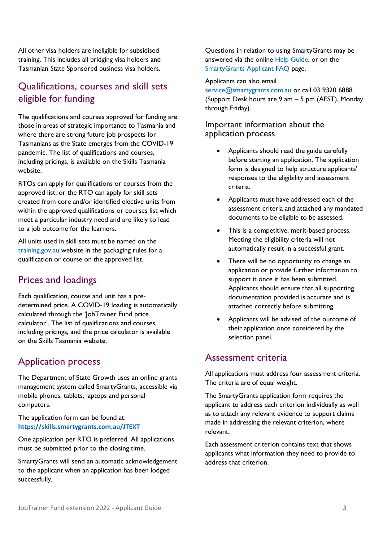All other visa holders are ineligible for subsidised training. This includes all bridging visa holders and Tasmanian State Sponsored business visa holders.

## <span id="page-4-0"></span>Qualifications, courses and skill sets eligible for funding

The qualifications and courses approved for funding are those in areas of strategic importance to Tasmania and where there are strong future job prospects for Tasmanians as the State emerges from the COVID-19 pandemic. The list of qualifications and courses, including pricings, is available on the Skills Tasmania website.

RTOs can apply for qualifications or courses from the approved list, or the RTO can apply for skill sets created from core and/or identified elective units from within the approved qualifications or courses list which meet a particular industry need and are likely to lead to a job outcome for the learners.

All units used in skill sets must be named on the [training.gov.au](http://training.gov.au/) website in the packaging rules for a qualification or course on the approved list.

## <span id="page-4-1"></span>Prices and loadings

Each qualification, course and unit has a predetermined price. A COVID-19 loading is automatically calculated through the 'JobTrainer Fund price calculator'. The list of qualifications and courses, including pricings, and the price calculator is available on the Skills Tasmania website.

## <span id="page-4-2"></span>Application process

The Department of State Growth uses an online grants management system called SmartyGrants, accessible via mobile phones, tablets, laptops and personal computers.

The application form can be found at: **<https://skills.smartygrants.com.au/JTEXT>**

One application per RTO is preferred. All applications must be submitted prior to the closing time.

SmartyGrants will send an automatic acknowledgement to the applicant when an application has been lodged successfully.

Questions in relation to using SmartyGrants may be answered via the online [Help Guide,](https://help.smartygrants.com.au/resources/help-guide-for-applicants/) or on the [SmartyGrants Applicant FAQ](https://help.smartygrants.com.au/using-smartygrants/faq) page.

#### Applicants can also email

[service@smartygrants.com.au](mailto:service@smartygrants.com.au) or call 03 9320 6888. (Support Desk hours are 9 am – 5 pm (AEST), Monday through Friday).

#### Important information about the application process

- Applicants should read the guide carefully before starting an application. The application form is designed to help structure applicants' responses to the eligibility and assessment criteria.
- Applicants must have addressed each of the assessment criteria and attached any mandated documents to be eligible to be assessed.
- This is a competitive, merit-based process. Meeting the eligibility criteria will not automatically result in a successful grant.
- There will be no opportunity to change an application or provide further information to support it once it has been submitted. Applicants should ensure that all supporting documentation provided is accurate and is attached correctly before submitting.
- Applicants will be advised of the outcome of their application once considered by the selection panel.

## <span id="page-4-3"></span>Assessment criteria

All applications must address four assessment criteria. The criteria are of equal weight.

The SmartyGrants application form requires the applicant to address each criterion individually as well as to attach any relevant evidence to support claims made in addressing the relevant criterion, where relevant.

Each assessment criterion contains text that shows applicants what information they need to provide to address that criterion.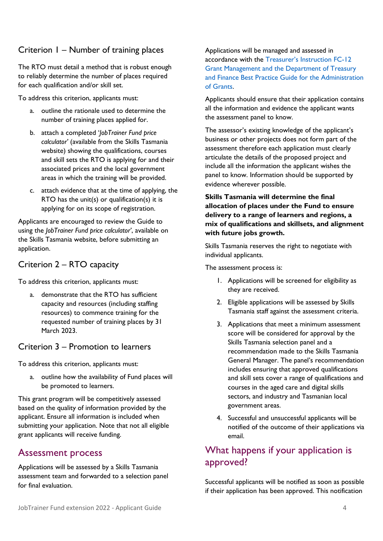## Criterion 1 – Number of training places

The RTO must detail a method that is robust enough to reliably determine the number of places required for each qualification and/or skill set.

To address this criterion, applicants must:

- a. outline the rationale used to determine the number of training places applied for.
- b. attach a completed '*JobTrainer Fund price calculator'* (available from the Skills Tasmania website) showing the qualifications, courses and skill sets the RTO is applying for and their associated prices and the local government areas in which the training will be provided.
- c. attach evidence that at the time of applying, the RTO has the unit(s) or qualification(s) it is applying for on its scope of registration.

Applicants are encouraged to review the Guide to using the *JobTrainer Fund price calculator'*, available on the Skills Tasmania website, before submitting an application.

## Criterion 2 – RTO capacity

To address this criterion, applicants must:

a. demonstrate that the RTO has sufficient capacity and resources (including staffing resources) to commence training for the requested number of training places by 31 March 2023.

### Criterion 3 – Promotion to learners

To address this criterion, applicants must:

a. outline how the availability of Fund places will be promoted to learners.

This grant program will be competitively assessed based on the quality of information provided by the applicant. Ensure all information is included when submitting your application. Note that not all eligible grant applicants will receive funding.

## <span id="page-5-0"></span>Assessment process

Applications will be assessed by a Skills Tasmania assessment team and forwarded to a selection panel for final evaluation.

#### Applications will be managed and assessed in accordance with the [Treasurer's Instruction FC](https://www.treasury.tas.gov.au/Documents/FC-12%20Grant%20Management.PDF)-12 [Grant Management and the Department of Treasury](https://www.treasury.tas.gov.au/Documents/FC-12%20Grant%20Management.PDF)  [and Finance Best Practice Guide for the Administration](https://www.treasury.tas.gov.au/Documents/FC-12%20Grant%20Management.PDF)  [of Grants.](https://www.treasury.tas.gov.au/Documents/FC-12%20Grant%20Management.PDF)

Applicants should ensure that their application contains all the information and evidence the applicant wants the assessment panel to know.

The assessor's existing knowledge of the applicant's business or other projects does not form part of the assessment therefore each application must clearly articulate the details of the proposed project and include all the information the applicant wishes the panel to know. Information should be supported by evidence wherever possible.

#### **Skills Tasmania will determine the final allocation of places under the Fund to ensure delivery to a range of learners and regions, a mix of qualifications and skillsets, and alignment with future jobs growth.**

Skills Tasmania reserves the right to negotiate with individual applicants.

The assessment process is:

- 1. Applications will be screened for eligibility as they are received.
- 2. Eligible applications will be assessed by Skills Tasmania staff against the assessment criteria.
- 3. Applications that meet a minimum assessment score will be considered for approval by the Skills Tasmania selection panel and a recommendation made to the Skills Tasmania General Manager. The panel's recommendation includes ensuring that approved qualifications and skill sets cover a range of qualifications and courses in the aged care and digital skills sectors, and industry and Tasmanian local government areas.
- 4. Successful and unsuccessful applicants will be notified of the outcome of their applications via email.

## <span id="page-5-1"></span>What happens if your application is approved?

Successful applicants will be notified as soon as possible if their application has been approved. This notification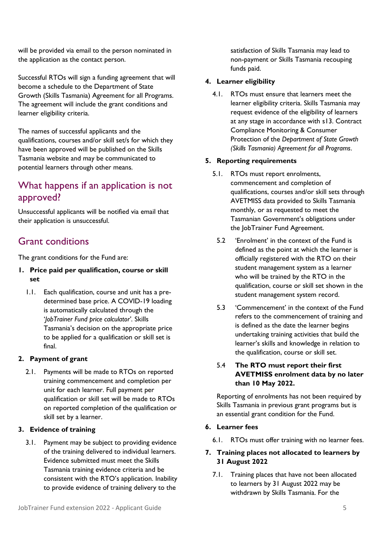the application as the contact person.

Growth (Skills Tasmania) Agreement for all Programs. The agreement will include the grant conditions and learner eligibility criteria.

will be provided via email to the person nominated in

The names of successful applicants and the qualifications, courses and/or skill set/s for which they have been approved will be published on the Skills Tasmania website and may be communicated to potential learners through other means.

## <span id="page-6-0"></span>What happens if an application is not approved?

Unsuccessful applicants will be notified via email that their application is unsuccessful.

## <span id="page-6-1"></span>Grant conditions

The grant conditions for the Fund are:

#### **1. Price paid per qualification, course or skill set**

1.1. Each qualification, course and unit has a predetermined base price. A COVID-19 loading is automatically calculated through the '*JobTrainer Fund price calculator'*. Skills Tasmania's decision on the appropriate price to be applied for a qualification or skill set is final.

#### **2. Payment of grant**

2.1. Payments will be made to RTOs on reported training commencement and completion per unit for each learner. Full payment per qualification or skill set will be made to RTOs on reported completion of the qualification or skill set by a learner.

#### **3. Evidence of training**

3.1. Payment may be subject to providing evidence of the training delivered to individual learners. Evidence submitted must meet the Skills Tasmania training evidence criteria and be consistent with the RTO's application. Inability to provide evidence of training delivery to the

satisfaction of Skills Tasmania may lead to non-payment or Skills Tasmania recouping funds paid.

#### **4. Learner eligibility**

4.1. RTOs must ensure that learners meet the learner eligibility criteria. Skills Tasmania may request evidence of the eligibility of learners at any stage in accordance with s13. Contract Compliance Monitoring & Consumer Protection of the *Department of State Growth (Skills Tasmania) Agreement for all Programs*.

#### **5. Reporting requirements**

- 5.1. RTOs must report enrolments, commencement and completion of qualifications, courses and/or skill sets through AVETMISS data provided to Skills Tasmania monthly, or as requested to meet the Tasmanian Government's obligations under the JobTrainer Fund Agreement.
- 5.2 'Enrolment' in the context of the Fund is defined as the point at which the learner is officially registered with the RTO on their student management system as a learner who will be trained by the RTO in the qualification, course or skill set shown in the student management system record.
- 5.3 'Commencement' in the context of the Fund refers to the commencement of training and is defined as the date the learner begins undertaking training activities that build the learner's skills and knowledge in relation to the qualification, course or skill set.

#### 5.4 **The RTO must report their first AVETMISS enrolment data by no later than 10 May 2022.**

Reporting of enrolments has not been required by Skills Tasmania in previous grant programs but is an essential grant condition for the Fund.

#### **6. Learner fees**

6.1. RTOs must offer training with no learner fees.

#### **7. Training places not allocated to learners by 31 August 2022**

7.1. Training places that have not been allocated to learners by 31 August 2022 may be withdrawn by Skills Tasmania. For the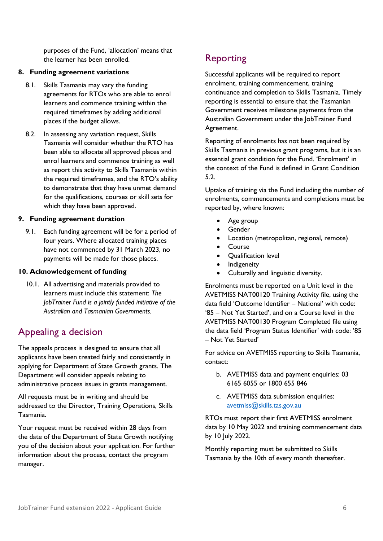purposes of the Fund, 'allocation' means that the learner has been enrolled.

#### **8. Funding agreement variations**

- 8.1. Skills Tasmania may vary the funding agreements for RTOs who are able to enrol learners and commence training within the required timeframes by adding additional places if the budget allows.
- 8.2. In assessing any variation request, Skills Tasmania will consider whether the RTO has been able to allocate all approved places and enrol learners and commence training as well as report this activity to Skills Tasmania within the required timeframes, and the RTO's ability to demonstrate that they have unmet demand for the qualifications, courses or skill sets for which they have been approved.

#### **9. Funding agreement duration**

9.1. Each funding agreement will be for a period of four years. Where allocated training places have not commenced by 31 March 2023, no payments will be made for those places.

#### **10. Acknowledgement of funding**

10.1. All advertising and materials provided to learners must include this statement: *The JobTrainer Fund is a jointly funded initiative of the Australian and Tasmanian Governments.*

## <span id="page-7-0"></span>Appealing a decision

The appeals process is designed to ensure that all applicants have been treated fairly and consistently in applying for Department of State Growth grants. The Department will consider appeals relating to administrative process issues in grants management.

All requests must be in writing and should be addressed to the Director, Training Operations, Skills Tasmania.

Your request must be received within 28 days from the date of the Department of State Growth notifying you of the decision about your application. For further information about the process, contact the program manager.

## <span id="page-7-1"></span>Reporting

Successful applicants will be required to report enrolment, training commencement, training continuance and completion to Skills Tasmania. Timely reporting is essential to ensure that the Tasmanian Government receives milestone payments from the Australian Government under the JobTrainer Fund Agreement.

Reporting of enrolments has not been required by Skills Tasmania in previous grant programs, but it is an essential grant condition for the Fund. 'Enrolment' in the context of the Fund is defined in Grant Condition 5.2.

Uptake of training via the Fund including the number of enrolments, commencements and completions must be reported by, where known:

- Age group
- **Gender**
- Location (metropolitan, regional, remote)
- **Course**
- Qualification level
- Indigeneity
- Culturally and linguistic diversity.

Enrolments must be reported on a Unit level in the AVETMISS NAT00120 Training Activity file, using the data field 'Outcome Identifier – National' with code: '85 – Not Yet Started', and on a Course level in the AVETMISS NAT00130 Program Completed file using the data field 'Program Status Identifier' with code: '85 – Not Yet Started'

For advice on AVETMISS reporting to Skills Tasmania, contact:

- b. AVETMISS data and payment enquiries: 03 6165 6055 or 1800 655 846
- c. AVETMISS data submission enquiries: [avetmiss@skills.tas.gov.au](mailto:avetmiss@skills.tas.gov.au)

RTOs must report their first AVETMISS enrolment data by 10 May 2022 and training commencement data by 10 July 2022.

Monthly reporting must be submitted to Skills Tasmania by the 10th of every month thereafter.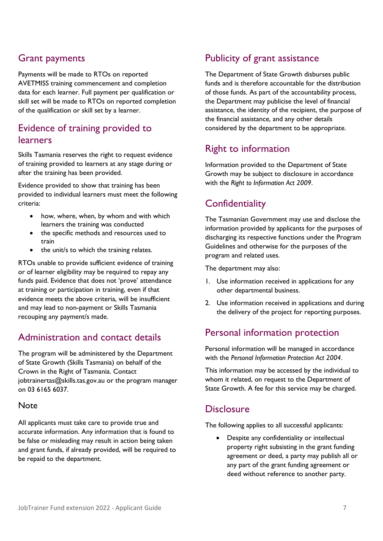## <span id="page-8-0"></span>Grant payments

Payments will be made to RTOs on reported AVETMISS training commencement and completion data for each learner. Full payment per qualification or skill set will be made to RTOs on reported completion of the qualification or skill set by a learner.

## <span id="page-8-1"></span>Evidence of training provided to learners

Skills Tasmania reserves the right to request evidence of training provided to learners at any stage during or after the training has been provided.

Evidence provided to show that training has been provided to individual learners must meet the following criteria:

- how, where, when, by whom and with which learners the training was conducted
- the specific methods and resources used to train
- the unit/s to which the training relates.

RTOs unable to provide sufficient evidence of training or of learner eligibility may be required to repay any funds paid. Evidence that does not 'prove' attendance at training or participation in training, even if that evidence meets the above criteria, will be insufficient and may lead to non-payment or Skills Tasmania recouping any payment/s made.

## <span id="page-8-2"></span>Administration and contact details

The program will be administered by the Department of State Growth (Skills Tasmania) on behalf of the Crown in the Right of Tasmania. Contact jobtrainertas@skills.tas.gov.au or the program manager on 03 6165 6037.

#### **Note**

All applicants must take care to provide true and accurate information. Any information that is found to be false or misleading may result in action being taken and grant funds, if already provided, will be required to be repaid to the department.

## <span id="page-8-3"></span>Publicity of grant assistance

The Department of State Growth disburses public funds and is therefore accountable for the distribution of those funds. As part of the accountability process, the Department may publicise the level of financial assistance, the identity of the recipient, the purpose of the financial assistance, and any other details considered by the department to be appropriate.

## <span id="page-8-4"></span>Right to information

Information provided to the Department of State Growth may be subject to disclosure in accordance with the *Right to Information Act 2009*.

## <span id="page-8-5"></span>**Confidentiality**

The Tasmanian Government may use and disclose the information provided by applicants for the purposes of discharging its respective functions under the Program Guidelines and otherwise for the purposes of the program and related uses.

The department may also:

- 1. Use information received in applications for any other departmental business.
- 2. Use information received in applications and during the delivery of the project for reporting purposes.

## <span id="page-8-6"></span>Personal information protection

Personal information will be managed in accordance with the *Personal Information Protection Act 2004*.

This information may be accessed by the individual to whom it related, on request to the Department of State Growth. A fee for this service may be charged.

## <span id="page-8-7"></span>**Disclosure**

The following applies to all successful applicants:

• Despite any confidentiality or intellectual property right subsisting in the grant funding agreement or deed, a party may publish all or any part of the grant funding agreement or deed without reference to another party.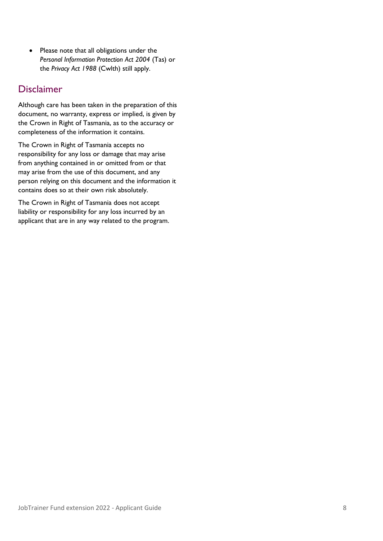• Please note that all obligations under the *Personal Information Protection Act 2004* (Tas) or the *Privacy Act 1988* (Cwlth) still apply.

## <span id="page-9-0"></span>Disclaimer

Although care has been taken in the preparation of this document, no warranty, express or implied, is given by the Crown in Right of Tasmania, as to the accuracy or completeness of the information it contains.

The Crown in Right of Tasmania accepts no responsibility for any loss or damage that may arise from anything contained in or omitted from or that may arise from the use of this document, and any person relying on this document and the information it contains does so at their own risk absolutely.

The Crown in Right of Tasmania does not accept liability or responsibility for any loss incurred by an applicant that are in any way related to the program.